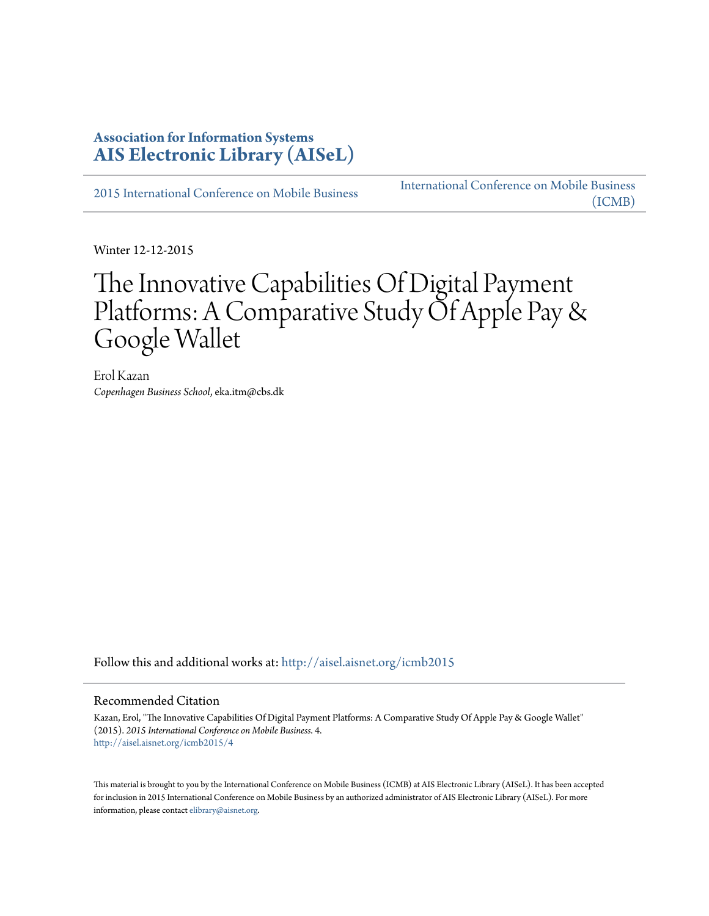### **Association for Information Systems [AIS Electronic Library \(AISeL\)](http://aisel.aisnet.org?utm_source=aisel.aisnet.org%2Ficmb2015%2F4&utm_medium=PDF&utm_campaign=PDFCoverPages)**

[2015 International Conference on Mobile Business](http://aisel.aisnet.org/icmb2015?utm_source=aisel.aisnet.org%2Ficmb2015%2F4&utm_medium=PDF&utm_campaign=PDFCoverPages)

[International Conference on Mobile Business](http://aisel.aisnet.org/icmb?utm_source=aisel.aisnet.org%2Ficmb2015%2F4&utm_medium=PDF&utm_campaign=PDFCoverPages) [\(ICMB\)](http://aisel.aisnet.org/icmb?utm_source=aisel.aisnet.org%2Ficmb2015%2F4&utm_medium=PDF&utm_campaign=PDFCoverPages)

Winter 12-12-2015

# The Innovative Capabilities Of Digital Payment Platforms: A Comparative Study Of Apple Pay & Google Wallet

Erol Kazan *Copenhagen Business School*, eka.itm@cbs.dk

Follow this and additional works at: [http://aisel.aisnet.org/icmb2015](http://aisel.aisnet.org/icmb2015?utm_source=aisel.aisnet.org%2Ficmb2015%2F4&utm_medium=PDF&utm_campaign=PDFCoverPages)

#### Recommended Citation

Kazan, Erol, "The Innovative Capabilities Of Digital Payment Platforms: A Comparative Study Of Apple Pay & Google Wallet" (2015). *2015 International Conference on Mobile Business*. 4. [http://aisel.aisnet.org/icmb2015/4](http://aisel.aisnet.org/icmb2015/4?utm_source=aisel.aisnet.org%2Ficmb2015%2F4&utm_medium=PDF&utm_campaign=PDFCoverPages)

This material is brought to you by the International Conference on Mobile Business (ICMB) at AIS Electronic Library (AISeL). It has been accepted for inclusion in 2015 International Conference on Mobile Business by an authorized administrator of AIS Electronic Library (AISeL). For more information, please contact [elibrary@aisnet.org.](mailto:elibrary@aisnet.org%3E)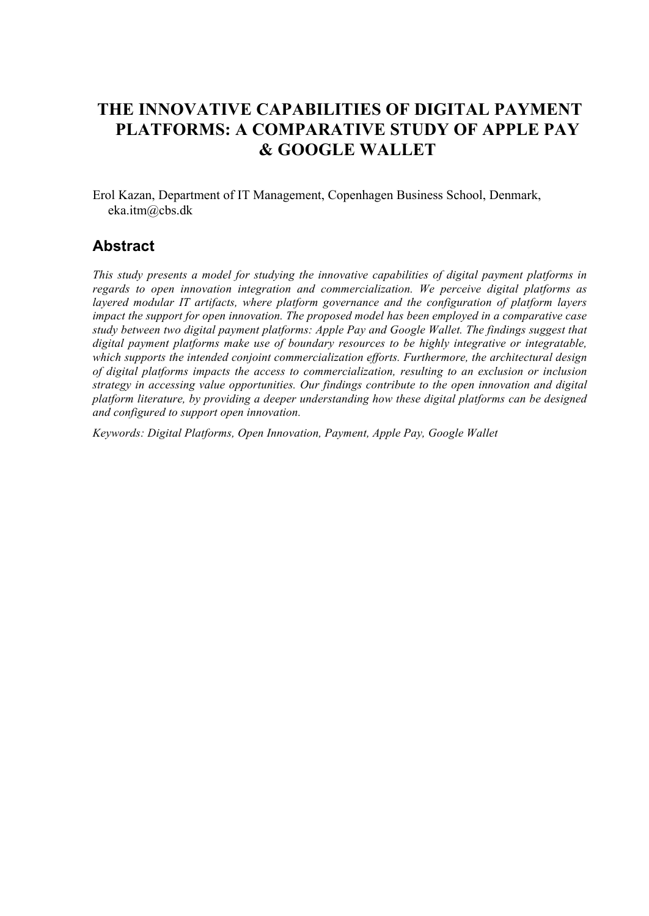# **THE INNOVATIVE CAPABILITIES OF DIGITAL PAYMENT PLATFORMS: A COMPARATIVE STUDY OF APPLE PAY & GOOGLE WALLET**

Erol Kazan, Department of IT Management, Copenhagen Business School, Denmark, eka.itm@cbs.dk

### **Abstract**

*This study presents a model for studying the innovative capabilities of digital payment platforms in regards to open innovation integration and commercialization. We perceive digital platforms as layered modular IT artifacts, where platform governance and the configuration of platform layers impact the support for open innovation. The proposed model has been employed in a comparative case study between two digital payment platforms: Apple Pay and Google Wallet. The findings suggest that digital payment platforms make use of boundary resources to be highly integrative or integratable, which supports the intended conjoint commercialization efforts. Furthermore, the architectural design of digital platforms impacts the access to commercialization, resulting to an exclusion or inclusion strategy in accessing value opportunities. Our findings contribute to the open innovation and digital platform literature, by providing a deeper understanding how these digital platforms can be designed and configured to support open innovation.*

*Keywords: Digital Platforms, Open Innovation, Payment, Apple Pay, Google Wallet*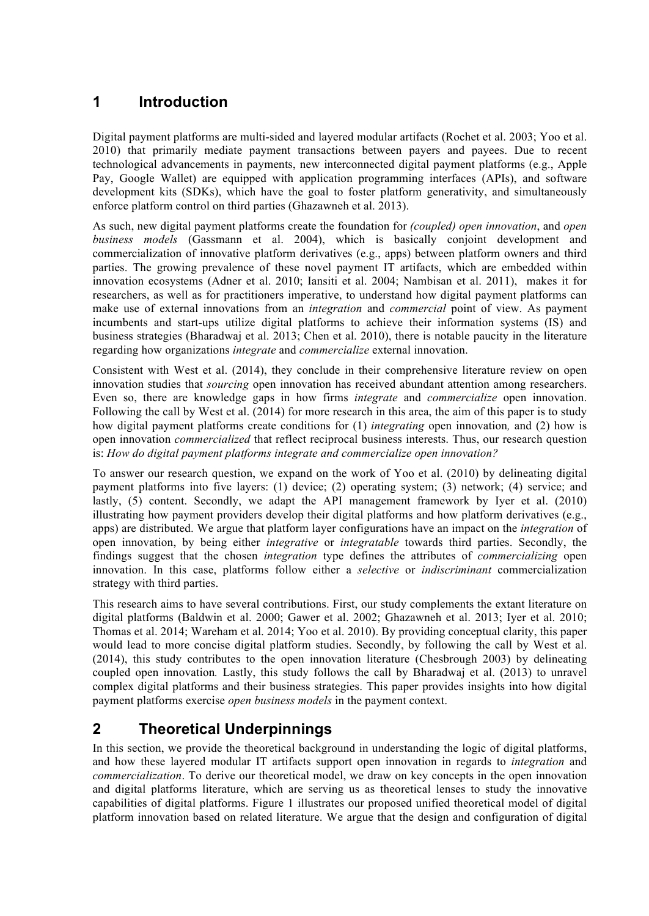### **1 Introduction**

Digital payment platforms are multi-sided and layered modular artifacts (Rochet et al. 2003; Yoo et al. 2010) that primarily mediate payment transactions between payers and payees. Due to recent technological advancements in payments, new interconnected digital payment platforms (e.g., Apple Pay, Google Wallet) are equipped with application programming interfaces (APIs), and software development kits (SDKs), which have the goal to foster platform generativity, and simultaneously enforce platform control on third parties (Ghazawneh et al. 2013).

As such, new digital payment platforms create the foundation for *(coupled) open innovation*, and *open business models* (Gassmann et al. 2004), which is basically conjoint development and commercialization of innovative platform derivatives (e.g., apps) between platform owners and third parties. The growing prevalence of these novel payment IT artifacts, which are embedded within innovation ecosystems (Adner et al. 2010; Iansiti et al. 2004; Nambisan et al. 2011), makes it for researchers, as well as for practitioners imperative, to understand how digital payment platforms can make use of external innovations from an *integration* and *commercial* point of view. As payment incumbents and start-ups utilize digital platforms to achieve their information systems (IS) and business strategies (Bharadwaj et al. 2013; Chen et al. 2010), there is notable paucity in the literature regarding how organizations *integrate* and *commercialize* external innovation.

Consistent with West et al. (2014), they conclude in their comprehensive literature review on open innovation studies that *sourcing* open innovation has received abundant attention among researchers. Even so, there are knowledge gaps in how firms *integrate* and *commercialize* open innovation. Following the call by West et al. (2014) for more research in this area, the aim of this paper is to study how digital payment platforms create conditions for (1) *integrating* open innovation*,* and (2) how is open innovation *commercialized* that reflect reciprocal business interests. Thus, our research question is: *How do digital payment platforms integrate and commercialize open innovation?*

To answer our research question, we expand on the work of Yoo et al. (2010) by delineating digital payment platforms into five layers: (1) device; (2) operating system; (3) network; (4) service; and lastly, (5) content. Secondly, we adapt the API management framework by Iyer et al. (2010) illustrating how payment providers develop their digital platforms and how platform derivatives (e.g., apps) are distributed. We argue that platform layer configurations have an impact on the *integration* of open innovation, by being either *integrative* or *integratable* towards third parties. Secondly, the findings suggest that the chosen *integration* type defines the attributes of *commercializing* open innovation. In this case, platforms follow either a *selective* or *indiscriminant* commercialization strategy with third parties.

This research aims to have several contributions. First, our study complements the extant literature on digital platforms (Baldwin et al. 2000; Gawer et al. 2002; Ghazawneh et al. 2013; Iyer et al. 2010; Thomas et al. 2014; Wareham et al. 2014; Yoo et al. 2010). By providing conceptual clarity, this paper would lead to more concise digital platform studies. Secondly, by following the call by West et al. (2014), this study contributes to the open innovation literature (Chesbrough 2003) by delineating coupled open innovation*.* Lastly, this study follows the call by Bharadwaj et al. (2013) to unravel complex digital platforms and their business strategies. This paper provides insights into how digital payment platforms exercise *open business models* in the payment context.

# **2 Theoretical Underpinnings**

In this section, we provide the theoretical background in understanding the logic of digital platforms, and how these layered modular IT artifacts support open innovation in regards to *integration* and *commercialization*. To derive our theoretical model, we draw on key concepts in the open innovation and digital platforms literature, which are serving us as theoretical lenses to study the innovative capabilities of digital platforms. Figure 1 illustrates our proposed unified theoretical model of digital platform innovation based on related literature. We argue that the design and configuration of digital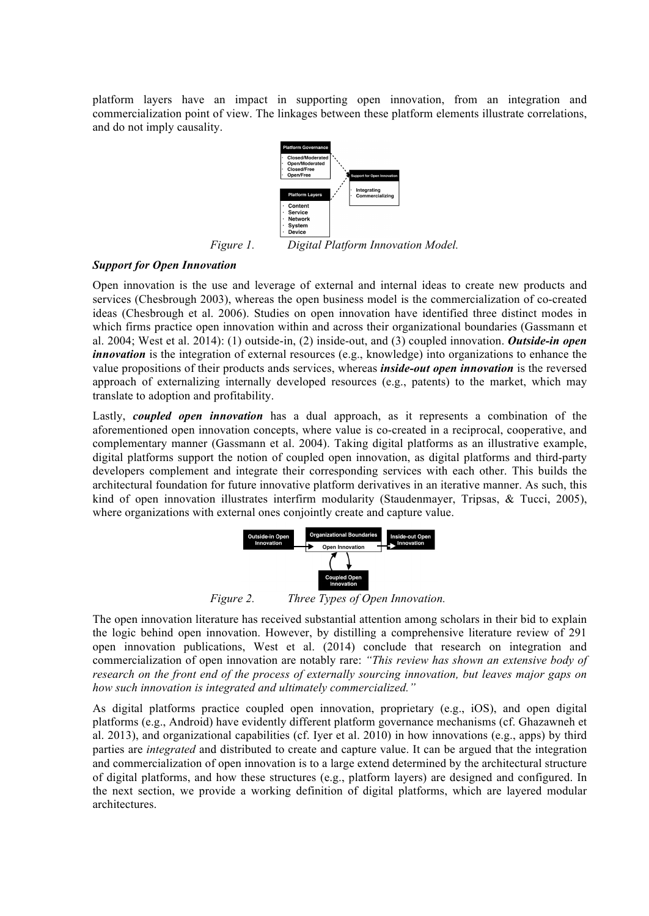platform layers have an impact in supporting open innovation, from an integration and commercialization point of view. The linkages between these platform elements illustrate correlations, and do not imply causality.



*Figure 1. Digital Platform Innovation Model.*

#### *Support for Open Innovation*

Open innovation is the use and leverage of external and internal ideas to create new products and services (Chesbrough 2003), whereas the open business model is the commercialization of co-created ideas (Chesbrough et al. 2006). Studies on open innovation have identified three distinct modes in which firms practice open innovation within and across their organizational boundaries (Gassmann et al. 2004; West et al. 2014): (1) outside-in, (2) inside-out, and (3) coupled innovation. *Outside-in open innovation* is the integration of external resources (e.g., knowledge) into organizations to enhance the value propositions of their products ands services, whereas *inside-out open innovation* is the reversed approach of externalizing internally developed resources (e.g., patents) to the market, which may translate to adoption and profitability.

Lastly, *coupled open innovation* has a dual approach, as it represents a combination of the aforementioned open innovation concepts, where value is co-created in a reciprocal, cooperative, and complementary manner (Gassmann et al. 2004). Taking digital platforms as an illustrative example, digital platforms support the notion of coupled open innovation, as digital platforms and third-party developers complement and integrate their corresponding services with each other. This builds the architectural foundation for future innovative platform derivatives in an iterative manner. As such, this kind of open innovation illustrates interfirm modularity (Staudenmayer, Tripsas, & Tucci, 2005), where organizations with external ones conjointly create and capture value.



*Figure 2. Three Types of Open Innovation.*

The open innovation literature has received substantial attention among scholars in their bid to explain the logic behind open innovation. However, by distilling a comprehensive literature review of 291 open innovation publications, West et al. (2014) conclude that research on integration and commercialization of open innovation are notably rare: *"This review has shown an extensive body of research on the front end of the process of externally sourcing innovation, but leaves major gaps on how such innovation is integrated and ultimately commercialized."*

As digital platforms practice coupled open innovation, proprietary (e.g., iOS), and open digital platforms (e.g., Android) have evidently different platform governance mechanisms (cf. Ghazawneh et al. 2013), and organizational capabilities (cf. Iyer et al. 2010) in how innovations (e.g., apps) by third parties are *integrated* and distributed to create and capture value. It can be argued that the integration and commercialization of open innovation is to a large extend determined by the architectural structure of digital platforms, and how these structures (e.g., platform layers) are designed and configured. In the next section, we provide a working definition of digital platforms, which are layered modular architectures.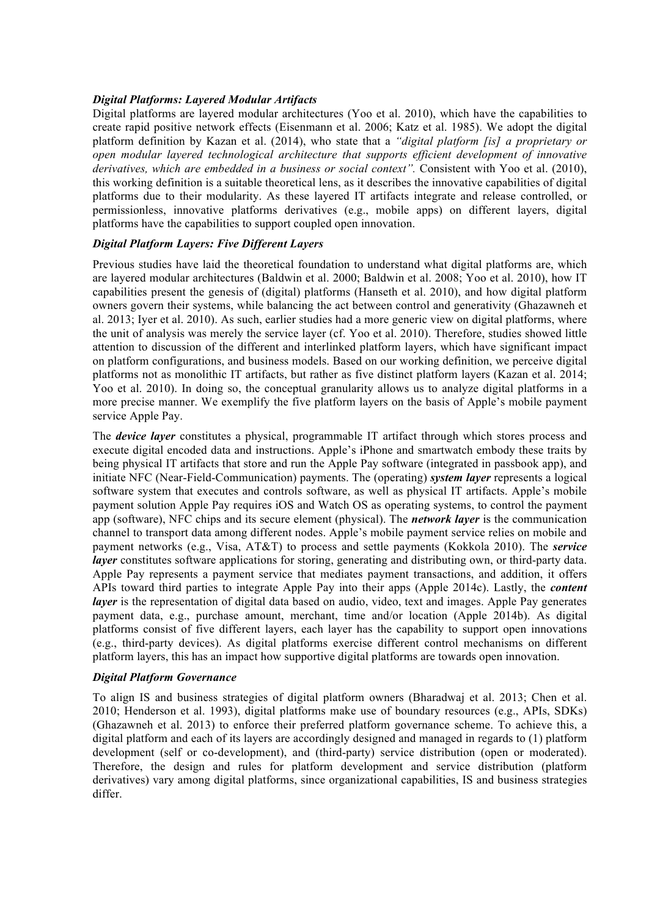#### *Digital Platforms: Layered Modular Artifacts*

Digital platforms are layered modular architectures (Yoo et al. 2010), which have the capabilities to create rapid positive network effects (Eisenmann et al. 2006; Katz et al. 1985). We adopt the digital platform definition by Kazan et al. (2014), who state that a *"digital platform [is] a proprietary or open modular layered technological architecture that supports efficient development of innovative derivatives, which are embedded in a business or social context".* Consistent with Yoo et al. (2010), this working definition is a suitable theoretical lens, as it describes the innovative capabilities of digital platforms due to their modularity. As these layered IT artifacts integrate and release controlled, or permissionless, innovative platforms derivatives (e.g., mobile apps) on different layers, digital platforms have the capabilities to support coupled open innovation.

#### *Digital Platform Layers: Five Different Layers*

Previous studies have laid the theoretical foundation to understand what digital platforms are, which are layered modular architectures (Baldwin et al. 2000; Baldwin et al. 2008; Yoo et al. 2010), how IT capabilities present the genesis of (digital) platforms (Hanseth et al. 2010), and how digital platform owners govern their systems, while balancing the act between control and generativity (Ghazawneh et al. 2013; Iyer et al. 2010). As such, earlier studies had a more generic view on digital platforms, where the unit of analysis was merely the service layer (cf. Yoo et al. 2010). Therefore, studies showed little attention to discussion of the different and interlinked platform layers, which have significant impact on platform configurations, and business models. Based on our working definition, we perceive digital platforms not as monolithic IT artifacts, but rather as five distinct platform layers (Kazan et al. 2014; Yoo et al. 2010). In doing so, the conceptual granularity allows us to analyze digital platforms in a more precise manner. We exemplify the five platform layers on the basis of Apple's mobile payment service Apple Pay.

The *device layer* constitutes a physical, programmable IT artifact through which stores process and execute digital encoded data and instructions. Apple's iPhone and smartwatch embody these traits by being physical IT artifacts that store and run the Apple Pay software (integrated in passbook app), and initiate NFC (Near-Field-Communication) payments. The (operating) *system layer* represents a logical software system that executes and controls software, as well as physical IT artifacts. Apple's mobile payment solution Apple Pay requires iOS and Watch OS as operating systems, to control the payment app (software), NFC chips and its secure element (physical). The *network layer* is the communication channel to transport data among different nodes. Apple's mobile payment service relies on mobile and payment networks (e.g., Visa, AT&T) to process and settle payments (Kokkola 2010). The *service layer* constitutes software applications for storing, generating and distributing own, or third-party data. Apple Pay represents a payment service that mediates payment transactions, and addition, it offers APIs toward third parties to integrate Apple Pay into their apps (Apple 2014c). Lastly, the *content layer* is the representation of digital data based on audio, video, text and images. Apple Pay generates payment data, e.g., purchase amount, merchant, time and/or location (Apple 2014b). As digital platforms consist of five different layers, each layer has the capability to support open innovations (e.g., third-party devices). As digital platforms exercise different control mechanisms on different platform layers, this has an impact how supportive digital platforms are towards open innovation.

#### *Digital Platform Governance*

To align IS and business strategies of digital platform owners (Bharadwaj et al. 2013; Chen et al. 2010; Henderson et al. 1993), digital platforms make use of boundary resources (e.g., APIs, SDKs) (Ghazawneh et al. 2013) to enforce their preferred platform governance scheme. To achieve this, a digital platform and each of its layers are accordingly designed and managed in regards to (1) platform development (self or co-development), and (third-party) service distribution (open or moderated). Therefore, the design and rules for platform development and service distribution (platform derivatives) vary among digital platforms, since organizational capabilities, IS and business strategies differ.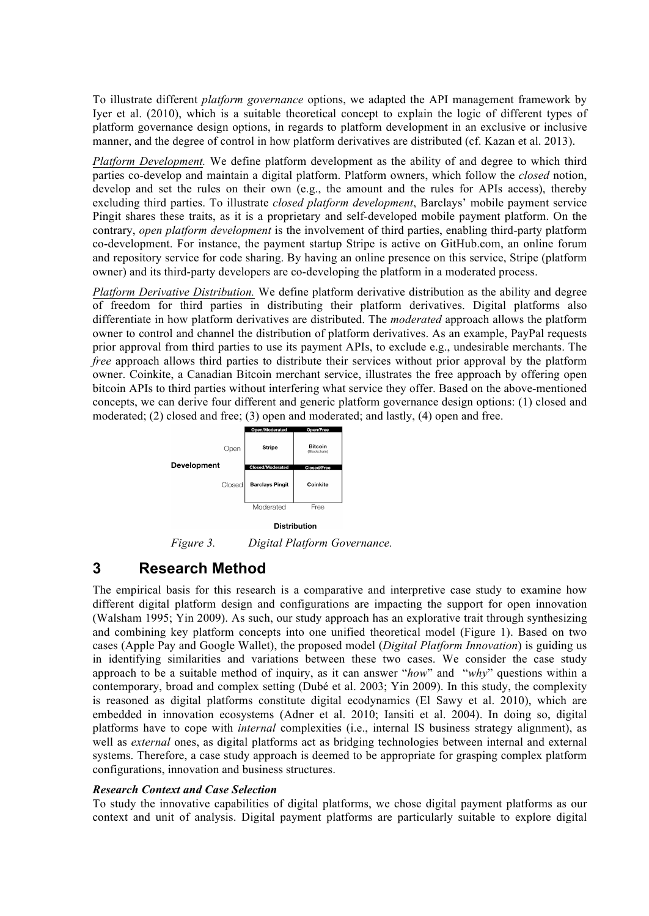To illustrate different *platform governance* options, we adapted the API management framework by Iyer et al. (2010), which is a suitable theoretical concept to explain the logic of different types of platform governance design options, in regards to platform development in an exclusive or inclusive manner, and the degree of control in how platform derivatives are distributed (cf. Kazan et al. 2013).

*Platform Development.* We define platform development as the ability of and degree to which third parties co-develop and maintain a digital platform. Platform owners, which follow the *closed* notion, develop and set the rules on their own (e.g., the amount and the rules for APIs access), thereby excluding third parties. To illustrate *closed platform development*, Barclays' mobile payment service Pingit shares these traits, as it is a proprietary and self-developed mobile payment platform. On the contrary, *open platform development* is the involvement of third parties, enabling third-party platform co-development. For instance, the payment startup Stripe is active on GitHub.com, an online forum and repository service for code sharing. By having an online presence on this service, Stripe (platform owner) and its third-party developers are co-developing the platform in a moderated process.

*Platform Derivative Distribution.* We define platform derivative distribution as the ability and degree of freedom for third parties in distributing their platform derivatives. Digital platforms also differentiate in how platform derivatives are distributed. The *moderated* approach allows the platform owner to control and channel the distribution of platform derivatives. As an example, PayPal requests prior approval from third parties to use its payment APIs, to exclude e.g., undesirable merchants. The *free* approach allows third parties to distribute their services without prior approval by the platform owner. Coinkite, a Canadian Bitcoin merchant service, illustrates the free approach by offering open bitcoin APIs to third parties without interfering what service they offer. Based on the above-mentioned concepts, we can derive four different and generic platform governance design options: (1) closed and moderated; (2) closed and free; (3) open and moderated; and lastly, (4) open and free.



**Distribution** 

*Figure 3. Digital Platform Governance.*

### **3 Research Method**

The empirical basis for this research is a comparative and interpretive case study to examine how different digital platform design and configurations are impacting the support for open innovation (Walsham 1995; Yin 2009). As such, our study approach has an explorative trait through synthesizing and combining key platform concepts into one unified theoretical model (Figure 1). Based on two cases (Apple Pay and Google Wallet), the proposed model (*Digital Platform Innovation*) is guiding us in identifying similarities and variations between these two cases. We consider the case study approach to be a suitable method of inquiry, as it can answer "*how*" and "*why*" questions within a contemporary, broad and complex setting (Dubé et al. 2003; Yin 2009). In this study, the complexity is reasoned as digital platforms constitute digital ecodynamics (El Sawy et al. 2010), which are embedded in innovation ecosystems (Adner et al. 2010; Iansiti et al. 2004). In doing so, digital platforms have to cope with *internal* complexities (i.e., internal IS business strategy alignment), as well as *external* ones, as digital platforms act as bridging technologies between internal and external systems. Therefore, a case study approach is deemed to be appropriate for grasping complex platform configurations, innovation and business structures.

#### *Research Context and Case Selection*

To study the innovative capabilities of digital platforms, we chose digital payment platforms as our context and unit of analysis. Digital payment platforms are particularly suitable to explore digital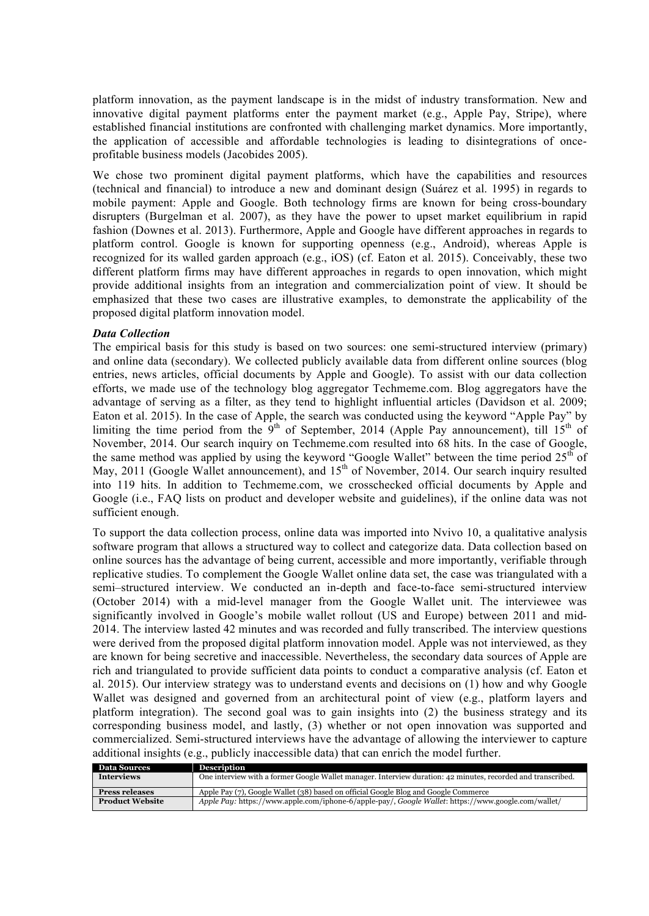platform innovation, as the payment landscape is in the midst of industry transformation. New and innovative digital payment platforms enter the payment market (e.g., Apple Pay, Stripe), where established financial institutions are confronted with challenging market dynamics. More importantly, the application of accessible and affordable technologies is leading to disintegrations of onceprofitable business models (Jacobides 2005).

We chose two prominent digital payment platforms, which have the capabilities and resources (technical and financial) to introduce a new and dominant design (Suárez et al. 1995) in regards to mobile payment: Apple and Google. Both technology firms are known for being cross-boundary disrupters (Burgelman et al. 2007), as they have the power to upset market equilibrium in rapid fashion (Downes et al. 2013). Furthermore, Apple and Google have different approaches in regards to platform control. Google is known for supporting openness (e.g., Android), whereas Apple is recognized for its walled garden approach (e.g., iOS) (cf. Eaton et al. 2015). Conceivably, these two different platform firms may have different approaches in regards to open innovation, which might provide additional insights from an integration and commercialization point of view. It should be emphasized that these two cases are illustrative examples, to demonstrate the applicability of the proposed digital platform innovation model.

#### *Data Collection*

The empirical basis for this study is based on two sources: one semi-structured interview (primary) and online data (secondary). We collected publicly available data from different online sources (blog entries, news articles, official documents by Apple and Google). To assist with our data collection efforts, we made use of the technology blog aggregator Techmeme.com. Blog aggregators have the advantage of serving as a filter, as they tend to highlight influential articles (Davidson et al. 2009; Eaton et al. 2015). In the case of Apple, the search was conducted using the keyword "Apple Pay" by limiting the time period from the  $9<sup>th</sup>$  of September, 2014 (Apple Pay announcement), till  $15<sup>th</sup>$  of November, 2014. Our search inquiry on Techmeme.com resulted into 68 hits. In the case of Google, the same method was applied by using the keyword "Google Wallet" between the time period  $25<sup>th</sup>$  of May, 2011 (Google Wallet announcement), and 15<sup>th</sup> of November, 2014. Our search inquiry resulted into 119 hits. In addition to Techmeme.com, we crosschecked official documents by Apple and Google (i.e., FAQ lists on product and developer website and guidelines), if the online data was not sufficient enough.

To support the data collection process, online data was imported into Nvivo 10, a qualitative analysis software program that allows a structured way to collect and categorize data. Data collection based on online sources has the advantage of being current, accessible and more importantly, verifiable through replicative studies. To complement the Google Wallet online data set, the case was triangulated with a semi–structured interview. We conducted an in-depth and face-to-face semi-structured interview (October 2014) with a mid-level manager from the Google Wallet unit. The interviewee was significantly involved in Google's mobile wallet rollout (US and Europe) between 2011 and mid-2014. The interview lasted 42 minutes and was recorded and fully transcribed. The interview questions were derived from the proposed digital platform innovation model. Apple was not interviewed, as they are known for being secretive and inaccessible. Nevertheless, the secondary data sources of Apple are rich and triangulated to provide sufficient data points to conduct a comparative analysis (cf. Eaton et al. 2015). Our interview strategy was to understand events and decisions on (1) how and why Google Wallet was designed and governed from an architectural point of view (e.g., platform layers and platform integration). The second goal was to gain insights into (2) the business strategy and its corresponding business model, and lastly, (3) whether or not open innovation was supported and commercialized. Semi-structured interviews have the advantage of allowing the interviewer to capture additional insights (e.g., publicly inaccessible data) that can enrich the model further.

| <b>Data Sources</b>    | <b>Description</b>                                                                                           |  |
|------------------------|--------------------------------------------------------------------------------------------------------------|--|
| <b>Interviews</b>      | One interview with a former Google Wallet manager. Interview duration: 42 minutes, recorded and transcribed. |  |
| <b>Press releases</b>  | Apple Pay (7), Google Wallet (38) based on official Google Blog and Google Commerce                          |  |
| <b>Product Website</b> | Apple Pay: https://www.apple.com/iphone-6/apple-pay/, Google Wallet: https://www.google.com/wallet/          |  |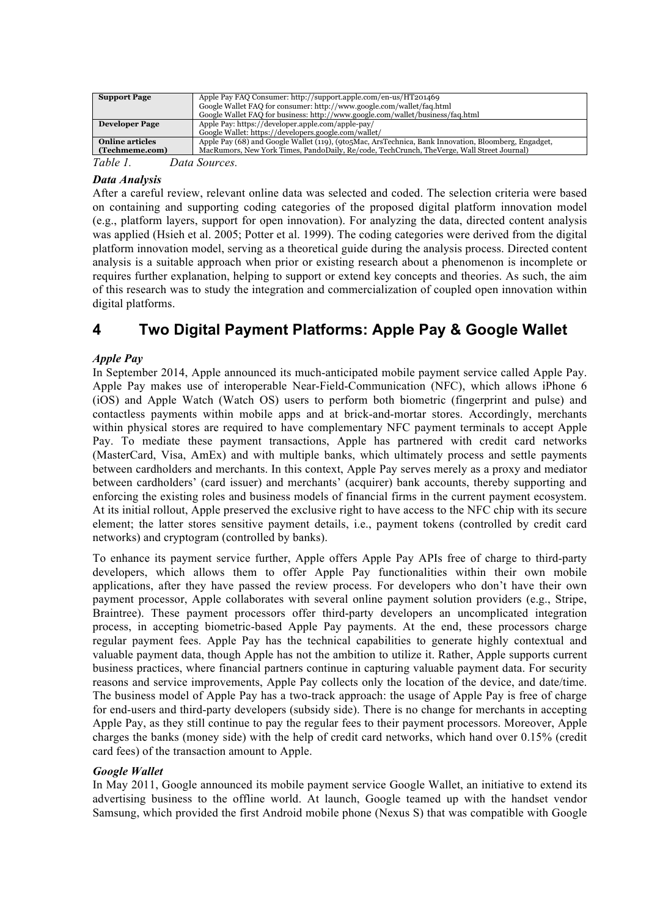| <b>Support Page</b>   | Apple Pay FAQ Consumer: http://support.apple.com/en-us/HT201469                                      |  |
|-----------------------|------------------------------------------------------------------------------------------------------|--|
|                       | Google Wallet FAQ for consumer: http://www.google.com/wallet/faq.html                                |  |
|                       | Google Wallet FAQ for business: http://www.google.com/wallet/business/faq.html                       |  |
| <b>Developer Page</b> | Apple Pay: https://developer.apple.com/apple-pay/                                                    |  |
|                       | Google Wallet: https://developers.google.com/wallet/                                                 |  |
| Online articles       | Apple Pay (68) and Google Wallet (119), (9to5Mac, ArsTechnica, Bank Innovation, Bloomberg, Engadget, |  |
| (Techmeme.com)        | MacRumors, New York Times, PandoDaily, Re/code, TechCrunch, TheVerge, Wall Street Journal)           |  |
| Table 1               | Data Sources.                                                                                        |  |

#### *Data Analysis*

After a careful review, relevant online data was selected and coded. The selection criteria were based on containing and supporting coding categories of the proposed digital platform innovation model (e.g., platform layers, support for open innovation). For analyzing the data, directed content analysis was applied (Hsieh et al. 2005; Potter et al. 1999). The coding categories were derived from the digital platform innovation model, serving as a theoretical guide during the analysis process. Directed content analysis is a suitable approach when prior or existing research about a phenomenon is incomplete or requires further explanation, helping to support or extend key concepts and theories. As such, the aim of this research was to study the integration and commercialization of coupled open innovation within digital platforms.

### **4 Two Digital Payment Platforms: Apple Pay & Google Wallet**

#### *Apple Pay*

In September 2014, Apple announced its much-anticipated mobile payment service called Apple Pay. Apple Pay makes use of interoperable Near-Field-Communication (NFC), which allows iPhone 6 (iOS) and Apple Watch (Watch OS) users to perform both biometric (fingerprint and pulse) and contactless payments within mobile apps and at brick-and-mortar stores. Accordingly, merchants within physical stores are required to have complementary NFC payment terminals to accept Apple Pay. To mediate these payment transactions, Apple has partnered with credit card networks (MasterCard, Visa, AmEx) and with multiple banks, which ultimately process and settle payments between cardholders and merchants. In this context, Apple Pay serves merely as a proxy and mediator between cardholders' (card issuer) and merchants' (acquirer) bank accounts, thereby supporting and enforcing the existing roles and business models of financial firms in the current payment ecosystem. At its initial rollout, Apple preserved the exclusive right to have access to the NFC chip with its secure element; the latter stores sensitive payment details, i.e., payment tokens (controlled by credit card networks) and cryptogram (controlled by banks).

To enhance its payment service further, Apple offers Apple Pay APIs free of charge to third-party developers, which allows them to offer Apple Pay functionalities within their own mobile applications, after they have passed the review process. For developers who don't have their own payment processor, Apple collaborates with several online payment solution providers (e.g., Stripe, Braintree). These payment processors offer third-party developers an uncomplicated integration process, in accepting biometric-based Apple Pay payments. At the end, these processors charge regular payment fees. Apple Pay has the technical capabilities to generate highly contextual and valuable payment data, though Apple has not the ambition to utilize it. Rather, Apple supports current business practices, where financial partners continue in capturing valuable payment data. For security reasons and service improvements, Apple Pay collects only the location of the device, and date/time. The business model of Apple Pay has a two-track approach: the usage of Apple Pay is free of charge for end-users and third-party developers (subsidy side). There is no change for merchants in accepting Apple Pay, as they still continue to pay the regular fees to their payment processors. Moreover, Apple charges the banks (money side) with the help of credit card networks, which hand over 0.15% (credit card fees) of the transaction amount to Apple.

#### *Google Wallet*

In May 2011, Google announced its mobile payment service Google Wallet, an initiative to extend its advertising business to the offline world. At launch, Google teamed up with the handset vendor Samsung, which provided the first Android mobile phone (Nexus S) that was compatible with Google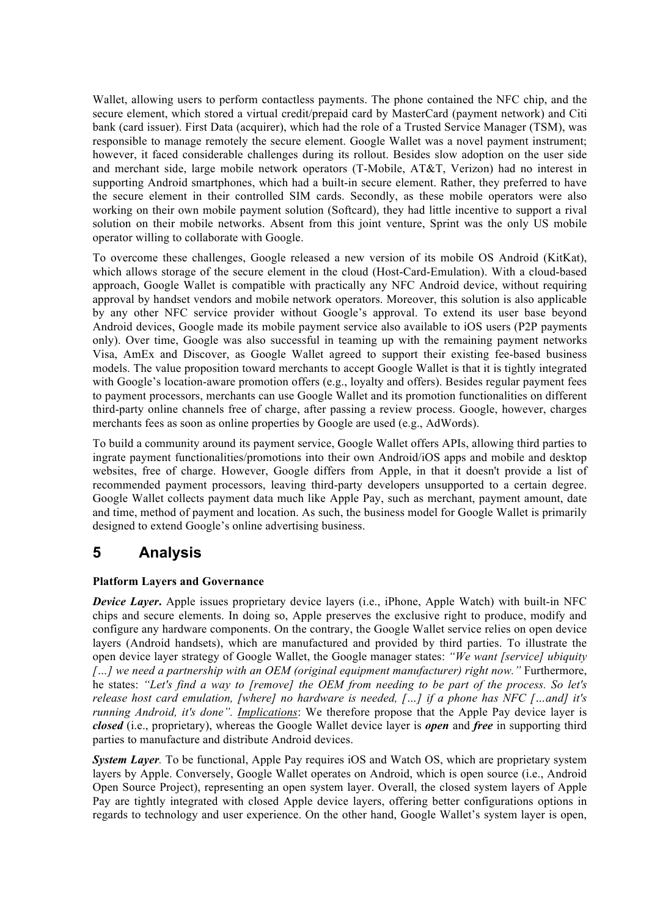Wallet, allowing users to perform contactless payments. The phone contained the NFC chip, and the secure element, which stored a virtual credit/prepaid card by MasterCard (payment network) and Citi bank (card issuer). First Data (acquirer), which had the role of a Trusted Service Manager (TSM), was responsible to manage remotely the secure element. Google Wallet was a novel payment instrument; however, it faced considerable challenges during its rollout. Besides slow adoption on the user side and merchant side, large mobile network operators (T-Mobile, AT&T, Verizon) had no interest in supporting Android smartphones, which had a built-in secure element. Rather, they preferred to have the secure element in their controlled SIM cards. Secondly, as these mobile operators were also working on their own mobile payment solution (Softcard), they had little incentive to support a rival solution on their mobile networks. Absent from this joint venture, Sprint was the only US mobile operator willing to collaborate with Google.

To overcome these challenges, Google released a new version of its mobile OS Android (KitKat), which allows storage of the secure element in the cloud (Host-Card-Emulation). With a cloud-based approach, Google Wallet is compatible with practically any NFC Android device, without requiring approval by handset vendors and mobile network operators. Moreover, this solution is also applicable by any other NFC service provider without Google's approval. To extend its user base beyond Android devices, Google made its mobile payment service also available to iOS users (P2P payments only). Over time, Google was also successful in teaming up with the remaining payment networks Visa, AmEx and Discover, as Google Wallet agreed to support their existing fee-based business models. The value proposition toward merchants to accept Google Wallet is that it is tightly integrated with Google's location-aware promotion offers (e.g., loyalty and offers). Besides regular payment fees to payment processors, merchants can use Google Wallet and its promotion functionalities on different third-party online channels free of charge, after passing a review process. Google, however, charges merchants fees as soon as online properties by Google are used (e.g., AdWords).

To build a community around its payment service, Google Wallet offers APIs, allowing third parties to ingrate payment functionalities/promotions into their own Android/iOS apps and mobile and desktop websites, free of charge. However, Google differs from Apple, in that it doesn't provide a list of recommended payment processors, leaving third-party developers unsupported to a certain degree. Google Wallet collects payment data much like Apple Pay, such as merchant, payment amount, date and time, method of payment and location. As such, the business model for Google Wallet is primarily designed to extend Google's online advertising business.

# **5 Analysis**

### **Platform Layers and Governance**

*Device Layer***.** Apple issues proprietary device layers (i.e., iPhone, Apple Watch) with built-in NFC chips and secure elements. In doing so, Apple preserves the exclusive right to produce, modify and configure any hardware components. On the contrary, the Google Wallet service relies on open device layers (Android handsets), which are manufactured and provided by third parties. To illustrate the open device layer strategy of Google Wallet, the Google manager states: *"We want [service] ubiquity*  [...] we need a partnership with an OEM (original equipment manufacturer) right now." Furthermore, he states: *"Let's find a way to [remove] the OEM from needing to be part of the process. So let's release host card emulation, [where] no hardware is needed, […] if a phone has NFC […and] it's running Android, it's done". Implications*: We therefore propose that the Apple Pay device layer is *closed* (i.e., proprietary), whereas the Google Wallet device layer is *open* and *free* in supporting third parties to manufacture and distribute Android devices.

*System Layer.* To be functional, Apple Pay requires iOS and Watch OS, which are proprietary system layers by Apple. Conversely, Google Wallet operates on Android, which is open source (i.e., Android Open Source Project), representing an open system layer. Overall, the closed system layers of Apple Pay are tightly integrated with closed Apple device layers, offering better configurations options in regards to technology and user experience. On the other hand, Google Wallet's system layer is open,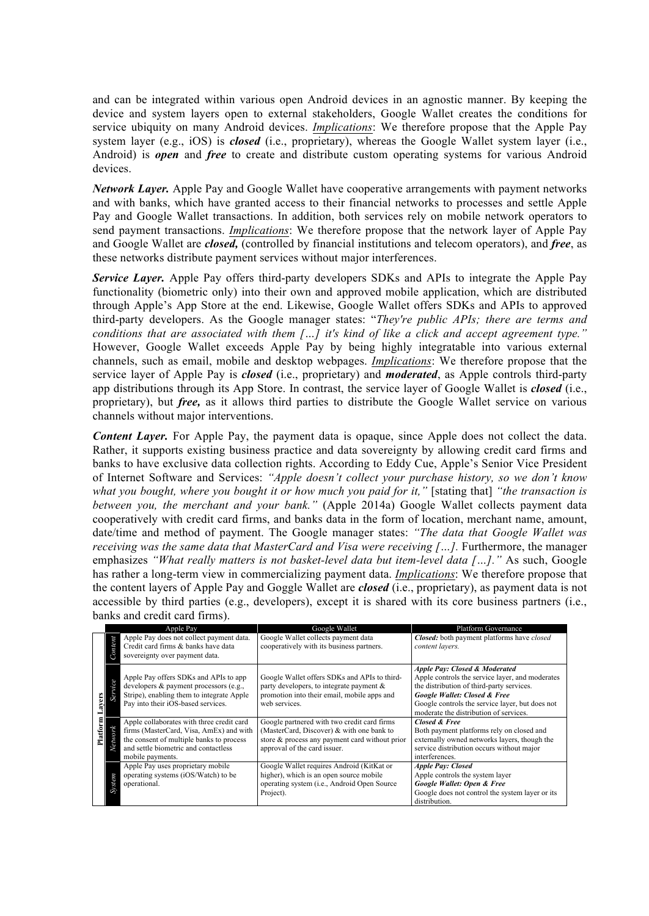and can be integrated within various open Android devices in an agnostic manner. By keeping the device and system layers open to external stakeholders, Google Wallet creates the conditions for service ubiquity on many Android devices. *Implications*: We therefore propose that the Apple Pay system layer (e.g., iOS) is *closed* (i.e., proprietary), whereas the Google Wallet system layer (i.e., Android) is *open* and *free* to create and distribute custom operating systems for various Android devices.

*Network Layer.* Apple Pay and Google Wallet have cooperative arrangements with payment networks and with banks, which have granted access to their financial networks to processes and settle Apple Pay and Google Wallet transactions. In addition, both services rely on mobile network operators to send payment transactions. *Implications*: We therefore propose that the network layer of Apple Pay and Google Wallet are *closed,* (controlled by financial institutions and telecom operators), and *free*, as these networks distribute payment services without major interferences.

*Service Layer.* Apple Pay offers third-party developers SDKs and APIs to integrate the Apple Pay functionality (biometric only) into their own and approved mobile application, which are distributed through Apple's App Store at the end. Likewise, Google Wallet offers SDKs and APIs to approved third-party developers. As the Google manager states: "*They're public APIs; there are terms and conditions that are associated with them […] it's kind of like a click and accept agreement type."* However, Google Wallet exceeds Apple Pay by being highly integratable into various external channels, such as email, mobile and desktop webpages. *Implications*: We therefore propose that the service layer of Apple Pay is *closed* (i.e., proprietary) and *moderated*, as Apple controls third-party app distributions through its App Store. In contrast, the service layer of Google Wallet is *closed* (i.e., proprietary), but *free,* as it allows third parties to distribute the Google Wallet service on various channels without major interventions.

*Content Layer.* For Apple Pay, the payment data is opaque, since Apple does not collect the data. Rather, it supports existing business practice and data sovereignty by allowing credit card firms and banks to have exclusive data collection rights. According to Eddy Cue, Apple's Senior Vice President of Internet Software and Services: *"Apple doesn't collect your purchase history, so we don't know what you bought, where you bought it or how much you paid for it,"* [stating that] *"the transaction is between you, the merchant and your bank."* (Apple 2014a) Google Wallet collects payment data cooperatively with credit card firms, and banks data in the form of location, merchant name, amount, date/time and method of payment. The Google manager states: *"The data that Google Wallet was receiving was the same data that MasterCard and Visa were receiving […].* Furthermore, the manager emphasizes *"What really matters is not basket-level data but item-level data [...]."* As such, Google has rather a long-term view in commercializing payment data. *Implications*: We therefore propose that the content layers of Apple Pay and Goggle Wallet are *closed* (i.e., proprietary), as payment data is not accessible by third parties (e.g., developers), except it is shared with its core business partners (i.e., banks and credit card firms).

| Apple Pay       |              |                                                                                                                                                                                              | Google Wallet                                                                                                                                                              | <b>Platform Governance</b>                                                                                                                                                                                                                                                       |
|-----------------|--------------|----------------------------------------------------------------------------------------------------------------------------------------------------------------------------------------------|----------------------------------------------------------------------------------------------------------------------------------------------------------------------------|----------------------------------------------------------------------------------------------------------------------------------------------------------------------------------------------------------------------------------------------------------------------------------|
| ayers<br>Platfo | Content      | Apple Pay does not collect payment data.<br>Credit card firms & banks have data<br>sovereignty over payment data.                                                                            | Google Wallet collects payment data<br>cooperatively with its business partners.                                                                                           | Closed: both payment platforms have closed<br>content layers.                                                                                                                                                                                                                    |
|                 | e<br>Service | Apple Pay offers SDKs and APIs to app<br>developers & payment processors (e.g.,<br>Stripe), enabling them to integrate Apple<br>Pay into their iOS-based services.                           | Google Wallet offers SDKs and APIs to third-<br>party developers, to integrate payment $\&$<br>promotion into their email, mobile apps and<br>web services.                | <b>Apple Pay: Closed &amp; Moderated</b><br>Apple controls the service layer, and moderates<br>the distribution of third-party services.<br><b>Google Wallet: Closed &amp; Free</b><br>Google controls the service layer, but does not<br>moderate the distribution of services. |
|                 | Network      | Apple collaborates with three credit card<br>firms (MasterCard, Visa, AmEx) and with<br>the consent of multiple banks to process<br>and settle biometric and contactless<br>mobile payments. | Google partnered with two credit card firms<br>(MasterCard, Discover) & with one bank to<br>store & process any payment card without prior<br>approval of the card issuer. | <b>Closed &amp; Free</b><br>Both payment platforms rely on closed and<br>externally owned networks layers, though the<br>service distribution occurs without major<br>interferences.                                                                                             |
|                 | System       | Apple Pay uses proprietary mobile<br>operating systems (iOS/Watch) to be<br>operational.                                                                                                     | Google Wallet requires Android (KitKat or<br>higher), which is an open source mobile<br>operating system (i.e., Android Open Source)<br>Project).                          | <b>Apple Pay: Closed</b><br>Apple controls the system layer<br>Google Wallet: Open & Free<br>Google does not control the system layer or its<br>distribution.                                                                                                                    |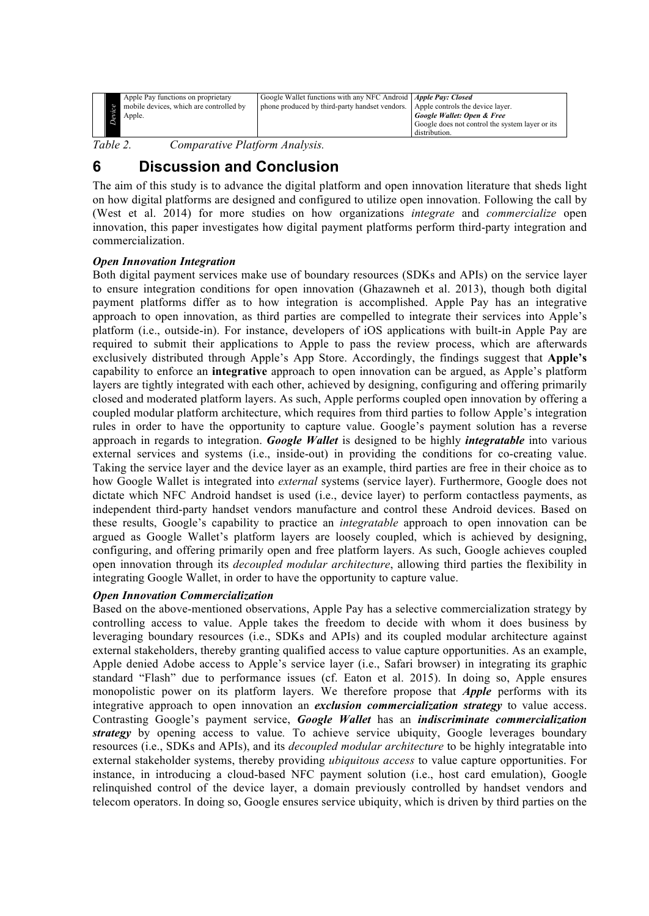| Apple Pay functions on proprietary<br>mobile devices, which are controlled by<br>Apple. | Google Wallet functions with any NFC Android   Apple Pay: Closed<br>phone produced by third-party handset vendors. Apple controls the device layer. | Google Wallet: Open & Free<br>Google does not control the system layer or its<br>distribution. |
|-----------------------------------------------------------------------------------------|-----------------------------------------------------------------------------------------------------------------------------------------------------|------------------------------------------------------------------------------------------------|
|-----------------------------------------------------------------------------------------|-----------------------------------------------------------------------------------------------------------------------------------------------------|------------------------------------------------------------------------------------------------|

*Table 2. Comparative Platform Analysis.*

# **6 Discussion and Conclusion**

The aim of this study is to advance the digital platform and open innovation literature that sheds light on how digital platforms are designed and configured to utilize open innovation. Following the call by (West et al. 2014) for more studies on how organizations *integrate* and *commercialize* open innovation, this paper investigates how digital payment platforms perform third-party integration and commercialization.

#### *Open Innovation Integration*

Both digital payment services make use of boundary resources (SDKs and APIs) on the service layer to ensure integration conditions for open innovation (Ghazawneh et al. 2013), though both digital payment platforms differ as to how integration is accomplished. Apple Pay has an integrative approach to open innovation, as third parties are compelled to integrate their services into Apple's platform (i.e., outside-in). For instance, developers of iOS applications with built-in Apple Pay are required to submit their applications to Apple to pass the review process, which are afterwards exclusively distributed through Apple's App Store. Accordingly, the findings suggest that **Apple's** capability to enforce an **integrative** approach to open innovation can be argued, as Apple's platform layers are tightly integrated with each other, achieved by designing, configuring and offering primarily closed and moderated platform layers. As such, Apple performs coupled open innovation by offering a coupled modular platform architecture, which requires from third parties to follow Apple's integration rules in order to have the opportunity to capture value. Google's payment solution has a reverse approach in regards to integration. *Google Wallet* is designed to be highly *integratable* into various external services and systems (i.e., inside-out) in providing the conditions for co-creating value. Taking the service layer and the device layer as an example, third parties are free in their choice as to how Google Wallet is integrated into *external* systems (service layer). Furthermore, Google does not dictate which NFC Android handset is used (i.e., device layer) to perform contactless payments, as independent third-party handset vendors manufacture and control these Android devices. Based on these results, Google's capability to practice an *integratable* approach to open innovation can be argued as Google Wallet's platform layers are loosely coupled, which is achieved by designing, configuring, and offering primarily open and free platform layers. As such, Google achieves coupled open innovation through its *decoupled modular architecture*, allowing third parties the flexibility in integrating Google Wallet, in order to have the opportunity to capture value.

#### *Open Innovation Commercialization*

Based on the above-mentioned observations, Apple Pay has a selective commercialization strategy by controlling access to value. Apple takes the freedom to decide with whom it does business by leveraging boundary resources (i.e., SDKs and APIs) and its coupled modular architecture against external stakeholders, thereby granting qualified access to value capture opportunities. As an example, Apple denied Adobe access to Apple's service layer (i.e., Safari browser) in integrating its graphic standard "Flash" due to performance issues (cf. Eaton et al. 2015). In doing so, Apple ensures monopolistic power on its platform layers. We therefore propose that *Apple* performs with its integrative approach to open innovation an *exclusion commercialization strategy* to value access. Contrasting Google's payment service, *Google Wallet* has an *indiscriminate commercialization strategy* by opening access to value*.* To achieve service ubiquity, Google leverages boundary resources (i.e., SDKs and APIs), and its *decoupled modular architecture* to be highly integratable into external stakeholder systems, thereby providing *ubiquitous access* to value capture opportunities. For instance, in introducing a cloud-based NFC payment solution (i.e., host card emulation), Google relinquished control of the device layer, a domain previously controlled by handset vendors and telecom operators. In doing so, Google ensures service ubiquity, which is driven by third parties on the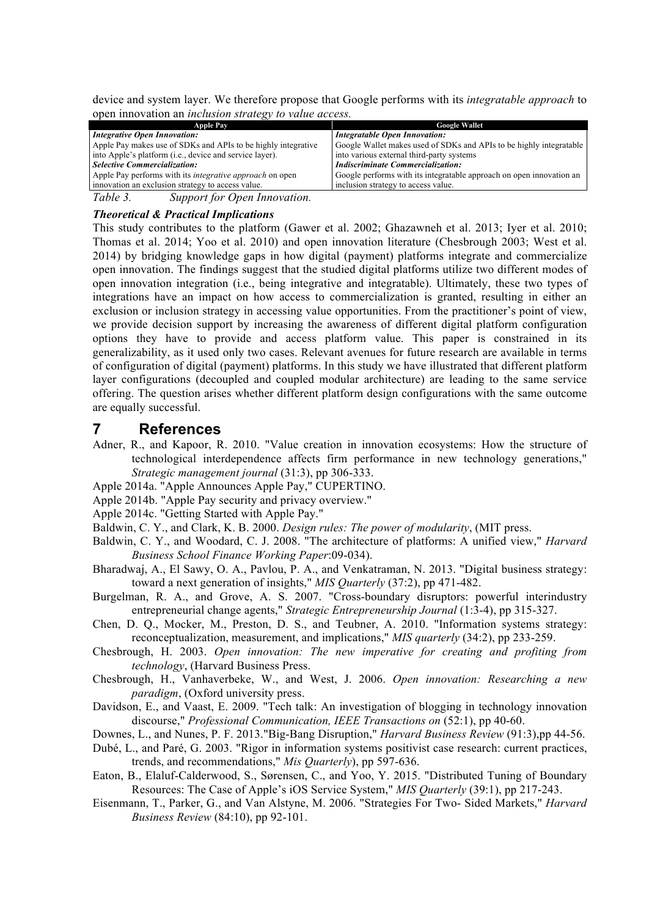device and system layer. We therefore propose that Google performs with its *integratable approach* to open innovation an *inclusion strategy to value access.*

| <b>Apple Pay</b>                                                | <b>Google Wallet</b>                                                 |  |
|-----------------------------------------------------------------|----------------------------------------------------------------------|--|
| <b>Integrative Open Innovation:</b>                             | <b>Integratable Open Innovation:</b>                                 |  |
| Apple Pay makes use of SDKs and APIs to be highly integrative   | Google Wallet makes used of SDKs and APIs to be highly integratable  |  |
| into Apple's platform (i.e., device and service layer).         | into various external third-party systems                            |  |
| <b>Selective Commercialization:</b>                             | <i><b>Indiscriminate Commercialization:</b></i>                      |  |
| Apple Pay performs with its <i>integrative approach</i> on open | Google performs with its integratable approach on open innovation an |  |
| innovation an exclusion strategy to access value.               | inclusion strategy to access value.                                  |  |
| $Ta$ bl <sub>a</sub> 2<br>Support for Open Innovation           |                                                                      |  |

*Table 3. Support for Open Innovation.*

#### *Theoretical & Practical Implications*

This study contributes to the platform (Gawer et al. 2002; Ghazawneh et al. 2013; Iyer et al. 2010; Thomas et al. 2014; Yoo et al. 2010) and open innovation literature (Chesbrough 2003; West et al. 2014) by bridging knowledge gaps in how digital (payment) platforms integrate and commercialize open innovation. The findings suggest that the studied digital platforms utilize two different modes of open innovation integration (i.e., being integrative and integratable). Ultimately, these two types of integrations have an impact on how access to commercialization is granted, resulting in either an exclusion or inclusion strategy in accessing value opportunities. From the practitioner's point of view, we provide decision support by increasing the awareness of different digital platform configuration options they have to provide and access platform value. This paper is constrained in its generalizability, as it used only two cases. Relevant avenues for future research are available in terms of configuration of digital (payment) platforms. In this study we have illustrated that different platform layer configurations (decoupled and coupled modular architecture) are leading to the same service offering. The question arises whether different platform design configurations with the same outcome are equally successful.

### **7 References**

- Adner, R., and Kapoor, R. 2010. "Value creation in innovation ecosystems: How the structure of technological interdependence affects firm performance in new technology generations," *Strategic management journal* (31:3), pp 306-333.
- Apple 2014a. "Apple Announces Apple Pay," CUPERTINO.
- Apple 2014b. "Apple Pay security and privacy overview."
- Apple 2014c. "Getting Started with Apple Pay."
- Baldwin, C. Y., and Clark, K. B. 2000. *Design rules: The power of modularity*, (MIT press.
- Baldwin, C. Y., and Woodard, C. J. 2008. "The architecture of platforms: A unified view," *Harvard Business School Finance Working Paper*:09-034).
- Bharadwaj, A., El Sawy, O. A., Pavlou, P. A., and Venkatraman, N. 2013. "Digital business strategy: toward a next generation of insights," *MIS Quarterly* (37:2), pp 471-482.
- Burgelman, R. A., and Grove, A. S. 2007. "Cross-boundary disruptors: powerful interindustry entrepreneurial change agents," *Strategic Entrepreneurship Journal* (1:3-4), pp 315-327.
- Chen, D. Q., Mocker, M., Preston, D. S., and Teubner, A. 2010. "Information systems strategy: reconceptualization, measurement, and implications," *MIS quarterly* (34:2), pp 233-259.
- Chesbrough, H. 2003. *Open innovation: The new imperative for creating and profiting from technology*, (Harvard Business Press.
- Chesbrough, H., Vanhaverbeke, W., and West, J. 2006. *Open innovation: Researching a new paradigm*, (Oxford university press.
- Davidson, E., and Vaast, E. 2009. "Tech talk: An investigation of blogging in technology innovation discourse," *Professional Communication, IEEE Transactions on* (52:1), pp 40-60.
- Downes, L., and Nunes, P. F. 2013."Big-Bang Disruption," *Harvard Business Review* (91:3),pp 44-56.
- Dubé, L., and Paré, G. 2003. "Rigor in information systems positivist case research: current practices, trends, and recommendations," *Mis Quarterly*), pp 597-636.
- Eaton, B., Elaluf-Calderwood, S., Sørensen, C., and Yoo, Y. 2015. "Distributed Tuning of Boundary Resources: The Case of Apple's iOS Service System," *MIS Quarterly* (39:1), pp 217-243.
- Eisenmann, T., Parker, G., and Van Alstyne, M. 2006. "Strategies For Two- Sided Markets," *Harvard Business Review* (84:10), pp 92-101.